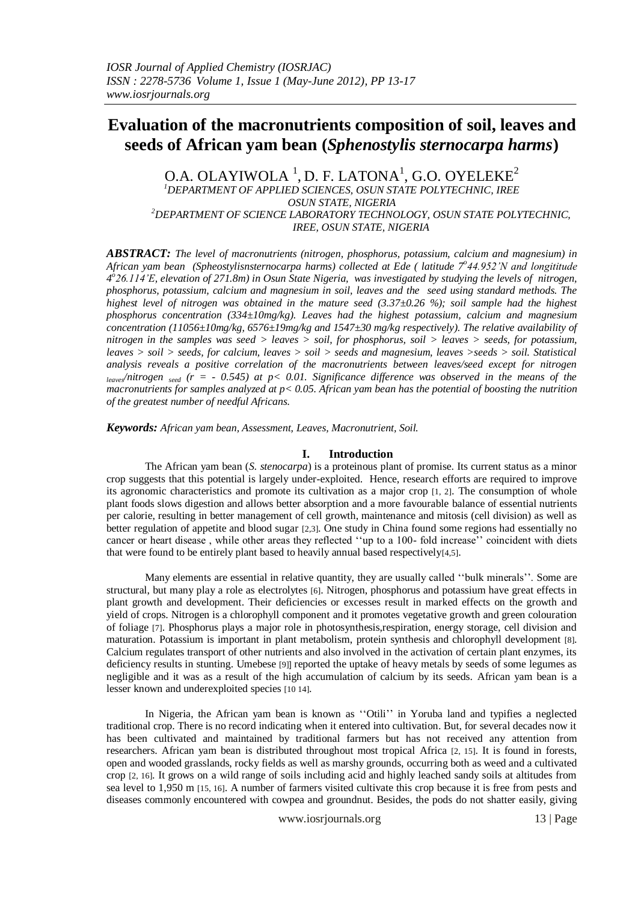# **Evaluation of the macronutrients composition of soil, leaves and seeds of African yam bean (***Sphenostylis sternocarpa harms***)**

O.A. OLAYIWOLA  $^1$ , D. F. LATONA $^1$ , G.O. OYELEKE $^2$ *<sup>1</sup>DEPARTMENT OF APPLIED SCIENCES, OSUN STATE POLYTECHNIC, IREE OSUN STATE, NIGERIA <sup>2</sup>DEPARTMENT OF SCIENCE LABORATORY TECHNOLOGY, OSUN STATE POLYTECHNIC, IREE, OSUN STATE, NIGERIA*

*ABSTRACT: The level of macronutrients (nitrogen, phosphorus, potassium, calcium and magnesium) in African yam bean (Spheostylisnsternocarpa harms) collected at Ede ( latitude 7<sup>o</sup> 44.952'N and longititude 4 o 26.114'E, elevation of 271.8m) in Osun State Nigeria, was investigated by studying the levels of nitrogen, phosphorus, potassium, calcium and magnesium in soil, leaves and the seed using standard methods. The highest level of nitrogen was obtained in the mature seed (3.37±0.26 %); soil sample had the highest phosphorus concentration (334±10mg/kg). Leaves had the highest potassium, calcium and magnesium concentration (11056±10mg/kg, 6576±19mg/kg and 1547±30 mg/kg respectively). The relative availability of nitrogen in the samples was seed > leaves > soil, for phosphorus, soil > leaves > seeds, for potassium, leaves > soil > seeds, for calcium, leaves > soil > seeds and magnesium, leaves >seeds > soil. Statistical analysis reveals a positive correlation of the macronutrients between leaves/seed except for nitrogen*  $_{leave}\{n \text{itrogen}_{seed} \text{ (}r \text{ = } -0.545 \text{) at p} \leq 0.01. \text{ Significance difference was observed in the means of the }$ *macronutrients for samples analyzed at p< 0.05. African yam bean has the potential of boosting the nutrition of the greatest number of needful Africans.*

*Keywords: African yam bean, Assessment, Leaves, Macronutrient, Soil.*

# **I. Introduction**

The African yam bean (*S. stenocarpa*) is a proteinous plant of promise. Its current status as a minor crop suggests that this potential is largely under-exploited. Hence, research efforts are required to improve its agronomic characteristics and promote its cultivation as a major crop [1, 2]. The consumption of whole plant foods slows digestion and allows better absorption and a more favourable balance of essential nutrients per calorie, resulting in better management of cell growth, maintenance and mitosis (cell division) as well as better regulation of appetite and blood sugar [2,3]. One study in China found some regions had essentially no cancer or heart disease , while other areas they reflected ''up to a 100- fold increase'' coincident with diets that were found to be entirely plant based to heavily annual based respectively[4,5].

Many elements are essential in relative quantity, they are usually called ''bulk minerals''. Some are structural, but many play a role as electrolytes [6]. Nitrogen, phosphorus and potassium have great effects in plant growth and development. Their deficiencies or excesses result in marked effects on the growth and yield of crops. Nitrogen is a chlorophyll component and it promotes vegetative growth and green colouration of foliage [7]. Phosphorus plays a major role in photosynthesis,respiration, energy storage, cell division and maturation. Potassium is important in plant metabolism, protein synthesis and chlorophyll development [8]. Calcium regulates transport of other nutrients and also involved in the activation of certain plant enzymes, its deficiency results in stunting. Umebese [9]] reported the uptake of heavy metals by seeds of some legumes as negligible and it was as a result of the high accumulation of calcium by its seeds. African yam bean is a lesser known and underexploited species [10 14].

In Nigeria, the African yam bean is known as ''Otili'' in Yoruba land and typifies a neglected traditional crop. There is no record indicating when it entered into cultivation. But, for several decades now it has been cultivated and maintained by traditional farmers but has not received any attention from researchers. African yam bean is distributed throughout most tropical Africa [2, 15]. It is found in forests, open and wooded grasslands, rocky fields as well as marshy grounds, occurring both as weed and a cultivated crop [2, 16]. It grows on a wild range of soils including acid and highly leached sandy soils at altitudes from sea level to 1,950 m [15, 16]. A number of farmers visited cultivate this crop because it is free from pests and diseases commonly encountered with cowpea and groundnut. Besides, the pods do not shatter easily, giving

www.iosrjournals.org 13 | Page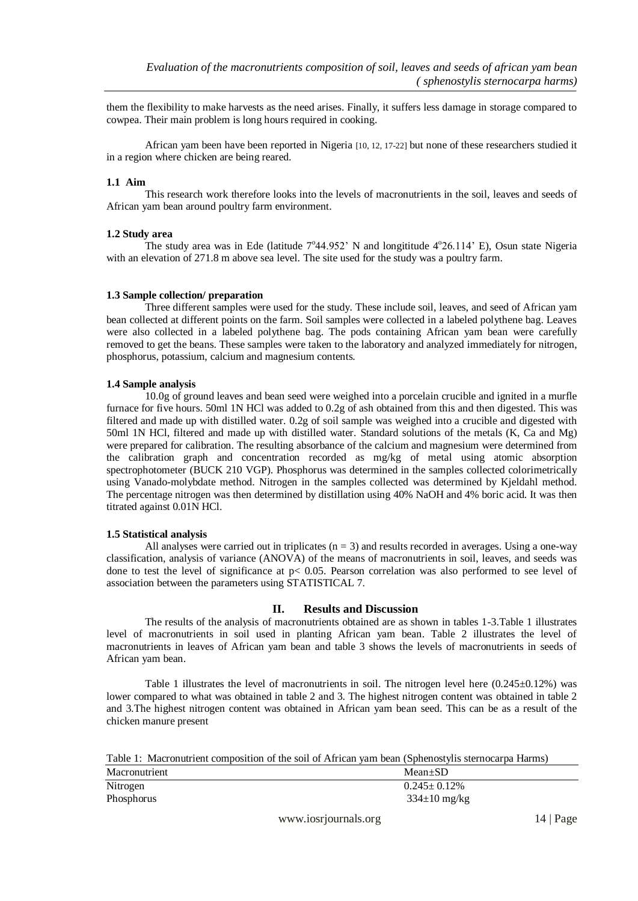them the flexibility to make harvests as the need arises. Finally, it suffers less damage in storage compared to cowpea. Their main problem is long hours required in cooking.

African yam been have been reported in Nigeria [10, 12, 17-22] but none of these researchers studied it in a region where chicken are being reared.

## **1.1 Aim**

This research work therefore looks into the levels of macronutrients in the soil, leaves and seeds of African yam bean around poultry farm environment.

### **1.2 Study area**

The study area was in Ede (latitude  $7^{\circ}44.952$ ' N and longititude  $4^{\circ}26.114$ ' E), Osun state Nigeria with an elevation of 271.8 m above sea level. The site used for the study was a poultry farm.

### **1.3 Sample collection/ preparation**

Three different samples were used for the study. These include soil, leaves, and seed of African yam bean collected at different points on the farm. Soil samples were collected in a labeled polythene bag. Leaves were also collected in a labeled polythene bag. The pods containing African yam bean were carefully removed to get the beans. These samples were taken to the laboratory and analyzed immediately for nitrogen, phosphorus, potassium, calcium and magnesium contents.

### **1.4 Sample analysis**

10.0g of ground leaves and bean seed were weighed into a porcelain crucible and ignited in a murfle furnace for five hours. 50ml 1N HCl was added to 0.2g of ash obtained from this and then digested. This was filtered and made up with distilled water. 0.2g of soil sample was weighed into a crucible and digested with 50ml 1N HCl, filtered and made up with distilled water. Standard solutions of the metals (K, Ca and Mg) were prepared for calibration. The resulting absorbance of the calcium and magnesium were determined from the calibration graph and concentration recorded as mg/kg of metal using atomic absorption spectrophotometer (BUCK 210 VGP). Phosphorus was determined in the samples collected colorimetrically using Vanado-molybdate method. Nitrogen in the samples collected was determined by Kjeldahl method. The percentage nitrogen was then determined by distillation using 40% NaOH and 4% boric acid. It was then titrated against 0.01N HCl.

### **1.5 Statistical analysis**

All analyses were carried out in triplicates ( $n = 3$ ) and results recorded in averages. Using a one-way classification, analysis of variance (ANOVA) of the means of macronutrients in soil, leaves, and seeds was done to test the level of significance at p< 0.05. Pearson correlation was also performed to see level of association between the parameters using STATISTICAL 7.

### **II. Results and Discussion**

The results of the analysis of macronutrients obtained are as shown in tables 1-3.Table 1 illustrates level of macronutrients in soil used in planting African yam bean. Table 2 illustrates the level of macronutrients in leaves of African yam bean and table 3 shows the levels of macronutrients in seeds of African yam bean.

Table 1 illustrates the level of macronutrients in soil. The nitrogen level here  $(0.245\pm0.12\%)$  was lower compared to what was obtained in table 2 and 3. The highest nitrogen content was obtained in table 2 and 3.The highest nitrogen content was obtained in African yam bean seed. This can be as a result of the chicken manure present

| Table 1: Macronutrient composition of the soil of African yam bean (Sphenostylis sternocarpa Harms) |  |
|-----------------------------------------------------------------------------------------------------|--|
|-----------------------------------------------------------------------------------------------------|--|

| Macronutrient | $Mean \pm SD$      |
|---------------|--------------------|
| Nitrogen      | $0.245 \pm 0.12\%$ |
| Phosphorus    | $334\pm10$ mg/kg   |
|               |                    |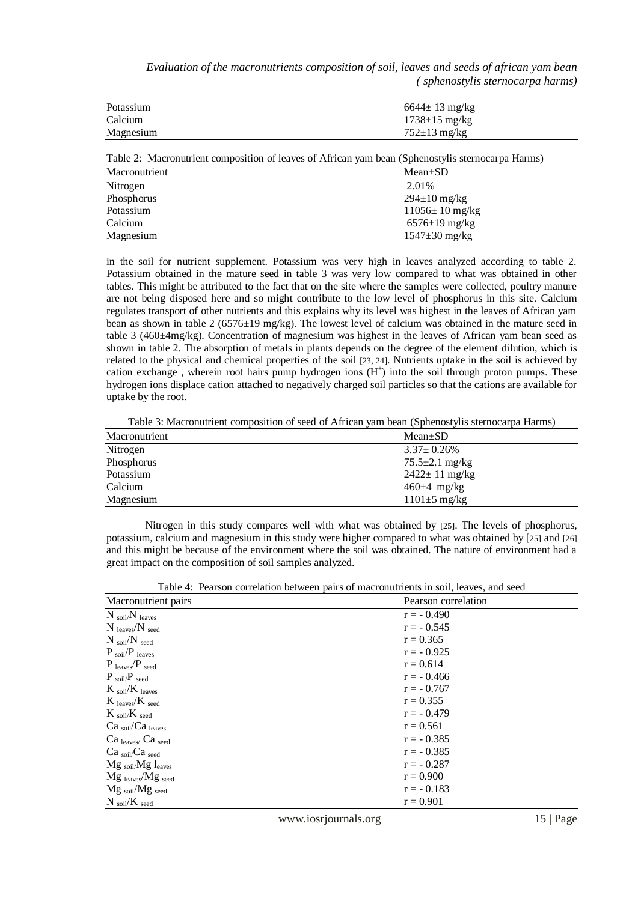*Evaluation of the macronutrients composition of soil, leaves and seeds of african yam bean ( sphenostylis sternocarpa harms)*

| Potassium | $6644 \pm 13 \text{ mg/kg}$ |
|-----------|-----------------------------|
| Calcium   | $1738 \pm 15 \text{ mg/kg}$ |
| Magnesium | $752\pm13$ mg/kg            |

| Table 2: Macronutrient composition of leaves of African yam bean (Sphenostylis sternocarpa Harms) |                              |  |
|---------------------------------------------------------------------------------------------------|------------------------------|--|
| Macronutrient                                                                                     | $Mean \pm SD$                |  |
| Nitrogen                                                                                          | 2.01%                        |  |
| Phosphorus                                                                                        | $294 \pm 10 \text{ mg/kg}$   |  |
| Potassium                                                                                         | $11056 \pm 10 \text{ mg/kg}$ |  |
| Calcium                                                                                           | $6576 \pm 19 \text{ mg/kg}$  |  |
| Magnesium                                                                                         | $1547 \pm 30 \text{ mg/kg}$  |  |

in the soil for nutrient supplement. Potassium was very high in leaves analyzed according to table 2. Potassium obtained in the mature seed in table 3 was very low compared to what was obtained in other tables. This might be attributed to the fact that on the site where the samples were collected, poultry manure are not being disposed here and so might contribute to the low level of phosphorus in this site. Calcium regulates transport of other nutrients and this explains why its level was highest in the leaves of African yam bean as shown in table 2 (6576±19 mg/kg). The lowest level of calcium was obtained in the mature seed in table 3 (460±4mg/kg). Concentration of magnesium was highest in the leaves of African yam bean seed as shown in table 2. The absorption of metals in plants depends on the degree of the element dilution, which is related to the physical and chemical properties of the soil [23, 24]. Nutrients uptake in the soil is achieved by cation exchange, wherein root hairs pump hydrogen ions  $(H<sup>+</sup>)$  into the soil through proton pumps. These hydrogen ions displace cation attached to negatively charged soil particles so that the cations are available for uptake by the root.

Table 3: Macronutrient composition of seed of African yam bean (Sphenostylis sternocarpa Harms)

| Macronutrient | $Mean \pm SD$               |
|---------------|-----------------------------|
| Nitrogen      | $3.37 \pm 0.26\%$           |
| Phosphorus    | $75.5 \pm 2.1$ mg/kg        |
| Potassium     | $2422 \pm 11 \text{ mg/kg}$ |
| Calcium       | $460\pm4$ mg/kg             |
| Magnesium     | $1101\pm 5$ mg/kg           |

Nitrogen in this study compares well with what was obtained by [25]. The levels of phosphorus, potassium, calcium and magnesium in this study were higher compared to what was obtained by [25] and [26] and this might be because of the environment where the soil was obtained. The nature of environment had a great impact on the composition of soil samples analyzed.

| Table +. I carson correlation between pairs of macromaticing in son, leaves, and secu- |                     |  |
|----------------------------------------------------------------------------------------|---------------------|--|
| Macronutrient pairs                                                                    | Pearson correlation |  |
| $N_{\text{soil}}/N_{\text{leaves}}$                                                    | $r = -0.490$        |  |
| $N_{\text{leaves}}/N_{\text{seed}}$                                                    | $r = -0.545$        |  |
| $N_{\text{soil}}/N_{\text{seed}}$                                                      | $r = 0.365$         |  |
| $P_{\text{soil}}/P_{\text{leaves}}$                                                    | $r = -0.925$        |  |
| $P_{leaves}/P_{seed}$                                                                  | $r = 0.614$         |  |
| $P_{\text{soil}}/P_{\text{seed}}$                                                      | $r = -0.466$        |  |
| $K_{\text{soil}}/K_{\text{leaves}}$                                                    | $r = -0.767$        |  |
| $K_{\text{leaves}}/K_{\text{seed}}$                                                    | $r = 0.355$         |  |
| $K_{\text{soil}}/K_{\text{seed}}$                                                      | $r = -0.479$        |  |
| Ca <sub>soil</sub> /Ca <sub>leaves</sub>                                               | $r = 0.561$         |  |
| $Ca_{\text{leaves}}/Ca_{\text{seed}}$                                                  | $r = -0.385$        |  |
| Ca <sub>soil</sub> /Ca <sub>seed</sub>                                                 | $r = -0.385$        |  |
| $Mg_{soli}/Mg_{s}$ <sub>eaves</sub>                                                    | $r = -0.287$        |  |
| $Mg_{leaves}/Mg_{seed}$                                                                | $r = 0.900$         |  |
| $Mg$ soil/ $Mg$ seed                                                                   | $r = -0.183$        |  |
| $N_{\text{soil}}/K_{\text{seed}}$                                                      | $r = 0.901$         |  |

Table 4: Pearson correlation between pairs of macronutrients in soil, leaves, and seed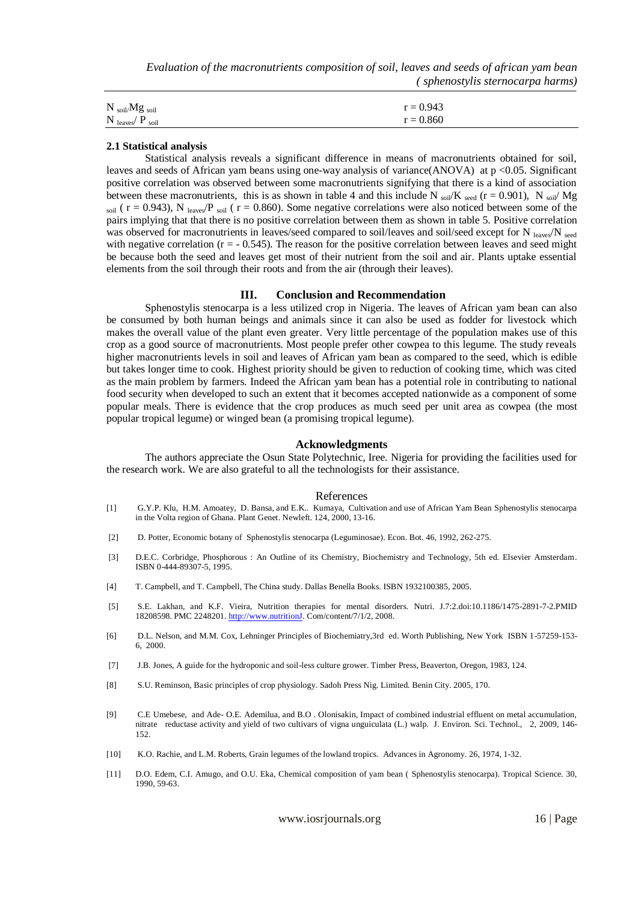*Evaluation of the macronutrients composition of soil, leaves and seeds of african yam bean ( sphenostylis sternocarpa harms)*

| $N_{\text{soil}}/Mg_{\text{soil}}$  | $r = 0.943$ |
|-------------------------------------|-------------|
| $N_{\text{leaves}}/P_{\text{soil}}$ | $r = 0.860$ |

#### **2.1 Statistical analysis**

Statistical analysis reveals a significant difference in means of macronutrients obtained for soil, leaves and seeds of African yam beans using one-way analysis of variance(ANOVA) at  $p < 0.05$ . Significant positive correlation was observed between some macronutrients signifying that there is a kind of association between these macronutrients, this is as shown in table 4 and this include N soil K seed (r = 0.901), N soil Mg soil ( $r = 0.943$ ), N leaves<sup>/P</sup> soil ( $r = 0.860$ ). Some negative correlations were also noticed between some of the pairs implying that that there is no positive correlation between them as shown in table 5. Positive correlation was observed for macronutrients in leaves/seed compared to soil/leaves and soil/seed except for N leaves/N seed with negative correlation ( $r = -0.545$ ). The reason for the positive correlation between leaves and seed might be because both the seed and leaves get most of their nutrient from the soil and air. Plants uptake essential elements from the soil through their roots and from the air (through their leaves).

#### **III. Conclusion and Recommendation**

Sphenostylis stenocarpa is a less utilized crop in Nigeria. The leaves of African yam bean can also be consumed by both human beings and animals since it can also be used as fodder for livestock which makes the overall value of the plant even greater. Very little percentage of the population makes use of this crop as a good source of macronutrients. Most people prefer other cowpea to this legume. The study reveals higher macronutrients levels in soil and leaves of African yam bean as compared to the seed, which is edible but takes longer time to cook. Highest priority should be given to reduction of cooking time, which was cited as the main problem by farmers. Indeed the African yam bean has a potential role in contributing to national food security when developed to such an extent that it becomes accepted nationwide as a component of some popular meals. There is evidence that the crop produces as much seed per unit area as cowpea (the most popular tropical legume) or winged bean (a promising tropical legume).

### **Acknowledgments**

The authors appreciate the Osun State Polytechnic, Iree. Nigeria for providing the facilities used for the research work. We are also grateful to all the technologists for their assistance.

#### References

- [1] G.Y.P. Klu, H.M. Amoatey, D. Bansa, and E.K.. Kumaya, Cultivation and use of African Yam Bean Sphenostylis stenocarpa in the Volta region of Ghana. Plant Genet. Newleft. 124, 2000, 13-16.
- [2] D. Potter, Economic botany of Sphenostylis stenocarpa (Leguminosae). Econ. Bot. 46, 1992, 262-275.
- [3] D.E.C. Corbridge, Phosphorous : An Outline of its Chemistry, Biochemistry and Technology, 5th ed. Elsevier Amsterdam. ISBN 0-444-89307-5, 1995.
- [4] T. Campbell, and T. Campbell, The China study. Dallas Benella Books. ISBN 1932100385, 2005.
- [5] S.E. Lakhan, and K.F. Vieira, Nutrition therapies for mental disorders. Nutri. J.7:2.doi:10.1186/1475-2891-7-2.PMID 18208598. PMC 2248201[. http://www.nutritionJ.](http://www.nutritionj/) Com/content/7/1/2, 2008.
- [6] D.L. Nelson, and M.M. Cox, Lehninger Principles of Biochemiatry,3rd ed. Worth Publishing, New York ISBN 1-57259-153- 6, 2000.
- [7] J.B. Jones, A guide for the hydroponic and soil-less culture grower. Timber Press, Beaverton, Oregon, 1983, 124.
- [8] S.U. Reminson, Basic principles of crop physiology. Sadoh Press Nig. Limited. Benin City. 2005, 170.
- [9] C.E Umebese, and Ade- O.E. Ademilua, and B.O . Olonisakin, Impact of combined industrial effluent on metal accumulation, nitrate reductase activity and yield of two cultivars of vigna unguiculata (L.) walp. J. Environ. Sci. Technol., 2, 2009, 146- 152.
- [10] K.O. Rachie, and L.M. Roberts, Grain legumes of the lowland tropics. Advances in Agronomy. 26, 1974, 1-32.
- [11] D.O. Edem, C.I. Amugo, and O.U. Eka, Chemical composition of yam bean ( Sphenostylis stenocarpa). Tropical Science. 30, 1990, 59-63.